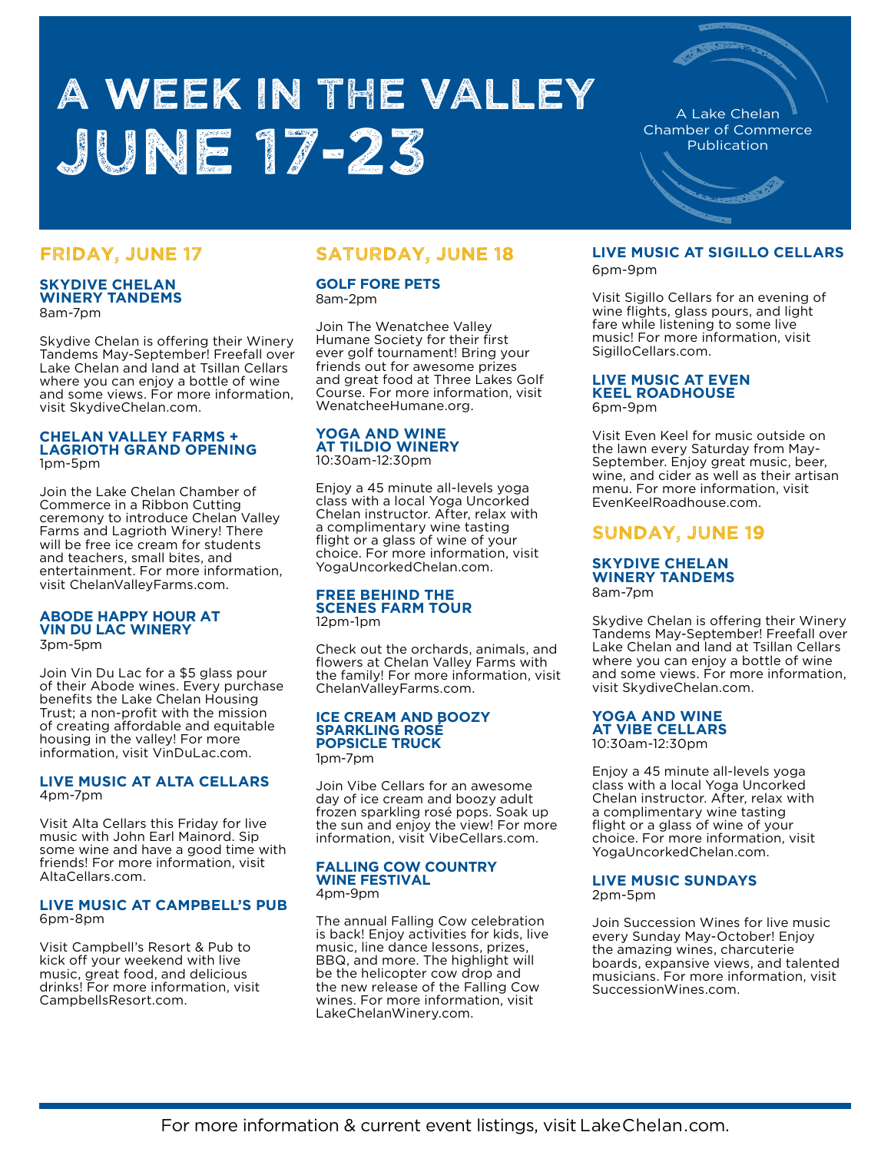# A WEEK IN THE VALLEY June 17-23

# FRIDAY, JUNE 17

## **SKYDIVE CHELAN WINERY TANDEMS** 8am-7pm

Skydive Chelan is offering their Winery Tandems May-September! Freefall over Lake Chelan and land at Tsillan Cellars where you can enjoy a bottle of wine and some views. For more information, visit SkydiveChelan.com.

## **CHELAN VALLEY FARMS + LAGRIOTH GRAND OPENING**  1pm-5pm

Join the Lake Chelan Chamber of Commerce in a Ribbon Cutting ceremony to introduce Chelan Valley Farms and Lagrioth Winery! There will be free ice cream for students and teachers, small bites, and entertainment. For more information, visit ChelanValleyFarms.com.

### **ABODE HAPPY HOUR AT VIN DU LAC WINERY** 3pm-5pm

Join Vin Du Lac for a \$5 glass pour of their Abode wines. Every purchase benefits the Lake Chelan Housing Trust; a non-profit with the mission of creating affordable and equitable housing in the valley! For more information, visit VinDuLac.com.

## **LIVE MUSIC AT ALTA CELLARS**  4pm-7pm

Visit Alta Cellars this Friday for live music with John Earl Mainord. Sip some wine and have a good time with friends! For more information, visit AltaCellars.com.

## **LIVE MUSIC AT CAMPBELL'S PUB** 6pm-8pm

Visit Campbell's Resort & Pub to kick off your weekend with live music, great food, and delicious drinks! For more information, visit CampbellsResort.com.

# SATURDAY, JUNE 18

**GOLF FORE PETS**  8am-2pm

Join The Wenatchee Valley Humane Society for their first ever golf tournament! Bring your friends out for awesome prizes and great food at Three Lakes Golf Course. For more information, visit WenatcheeHumane.org.

## **YOGA AND WINE AT TILDIO WINERY**  10:30am-12:30pm

Enjoy a 45 minute all-levels yoga class with a local Yoga Uncorked Chelan instructor. After, relax with a complimentary wine tasting flight or a glass of wine of your choice. For more information, visit YogaUncorkedChelan.com.

#### **FREE BEHIND THE SCENES FARM TOUR**  12pm-1pm

Check out the orchards, animals, and flowers at Chelan Valley Farms with the family! For more information, visit ChelanValleyFarms.com.

# **ICE CREAM AND BOOZY SPARKLING ROSÉ POPSICLE TRUCK**

1pm-7pm

Join Vibe Cellars for an awesome day of ice cream and boozy adult frozen sparkling rosé pops. Soak up the sun and enjoy the view! For more information, visit VibeCellars.com.

### **FALLING COW COUNTRY WINE FESTIVAL**  4pm-9pm

The annual Falling Cow celebration is back! Enjoy activities for kids, live music, line dance lessons, prizes, BBQ, and more. The highlight will be the helicopter cow drop and the new release of the Falling Cow wines. For more information, visit LakeChelanWinery.com.

# **LIVE MUSIC AT SIGILLO CELLARS**

A Lake Chelan Chamber of Commerce Publication

6pm-9pm

Visit Sigillo Cellars for an evening of wine flights, glass pours, and light fare while listening to some live music! For more information, visit SigilloCellars.com.

#### **LIVE MUSIC AT EVEN KEEL ROADHOUSE**  6pm-9pm

Visit Even Keel for music outside on the lawn every Saturday from May-September. Enjoy great music, beer, wine, and cider as well as their artisan menu. For more information, visit EvenKeelRoadhouse.com.

# SUNDAY, JUNE 19

## **SKYDIVE CHELAN WINERY TANDEMS** 8am-7pm

Skydive Chelan is offering their Winery Tandems May-September! Freefall over Lake Chelan and land at Tsillan Cellars where you can enjoy a bottle of wine and some views. For more information, visit SkydiveChelan.com.

## **YOGA AND WINE AT VIBE CELLARS**  10:30am-12:30pm

Enjoy a 45 minute all-levels yoga class with a local Yoga Uncorked Chelan instructor. After, relax with a complimentary wine tasting flight or a glass of wine of your choice. For more information, visit YogaUncorkedChelan.com.

## **LIVE MUSIC SUNDAYS** 2pm-5pm

Join Succession Wines for live music every Sunday May-October! Enjoy the amazing wines, charcuterie boards, expansive views, and talented musicians. For more information, visit SuccessionWines.com.